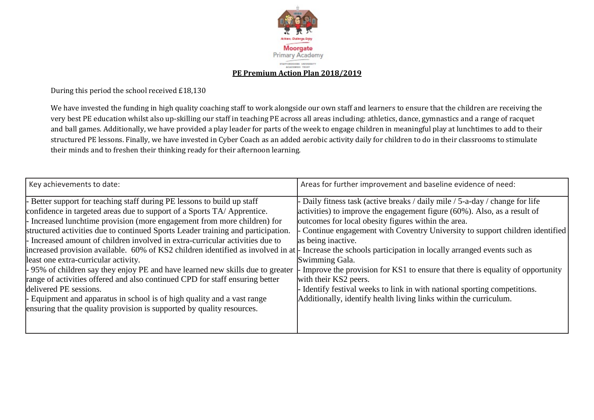

During this period the school received £18,130

We have invested the funding in high quality coaching staff to work alongside our own staff and learners to ensure that the children are receiving the very best PE education whilst also up-skilling our staff in teaching PE across all areas including: athletics, dance, gymnastics and a range of racquet and ball games. Additionally, we have provided a play leader for parts of the week to engage children in meaningful play at lunchtimes to add to their structured PE lessons. Finally, we have invested in Cyber Coach as an added aerobic activity daily for children to do in their classrooms to stimulate their minds and to freshen their thinking ready for their afternoon learning.

| Key achievements to date:                                                                                                                                                                                                                                                                                                                                                                                                                                                                                                                                                                                                                                                                                                                                                                                                                                                                                                                             | Areas for further improvement and baseline evidence of need:                                                                                                                                                                                                                                                                                                                                                                                                                                                                                                                                         |
|-------------------------------------------------------------------------------------------------------------------------------------------------------------------------------------------------------------------------------------------------------------------------------------------------------------------------------------------------------------------------------------------------------------------------------------------------------------------------------------------------------------------------------------------------------------------------------------------------------------------------------------------------------------------------------------------------------------------------------------------------------------------------------------------------------------------------------------------------------------------------------------------------------------------------------------------------------|------------------------------------------------------------------------------------------------------------------------------------------------------------------------------------------------------------------------------------------------------------------------------------------------------------------------------------------------------------------------------------------------------------------------------------------------------------------------------------------------------------------------------------------------------------------------------------------------------|
| Better support for teaching staff during PE lessons to build up staff<br>confidence in targeted areas due to support of a Sports TA/Apprentice.<br>Increased lunchtime provision (more engagement from more children) for<br>structured activities due to continued Sports Leader training and participation.<br>Increased amount of children involved in extra-curricular activities due to<br>increased provision available. 60% of KS2 children identified as involved in at $\vert$ - Increase the schools participation in locally arranged events such as<br>least one extra-curricular activity.<br>-95% of children say they enjoy PE and have learned new skills due to greater<br>range of activities offered and also continued CPD for staff ensuring better<br>delivered PE sessions.<br>Equipment and apparatus in school is of high quality and a vast range<br>ensuring that the quality provision is supported by quality resources. | Daily fitness task (active breaks / daily mile / 5-a-day / change for life<br>activities) to improve the engagement figure $(60\%)$ . Also, as a result of<br>outcomes for local obesity figures within the area.<br>Continue engagement with Coventry University to support children identified<br>as being inactive.<br>Swimming Gala.<br>Improve the provision for KS1 to ensure that there is equality of opportunity<br>with their KS2 peers.<br>- Identify festival weeks to link in with national sporting competitions.<br>Additionally, identify health living links within the curriculum. |
|                                                                                                                                                                                                                                                                                                                                                                                                                                                                                                                                                                                                                                                                                                                                                                                                                                                                                                                                                       |                                                                                                                                                                                                                                                                                                                                                                                                                                                                                                                                                                                                      |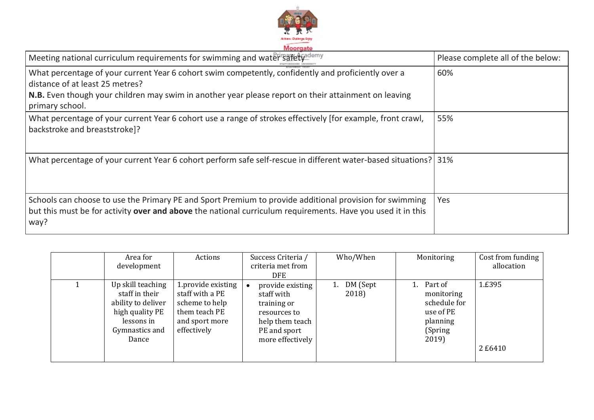

| Meeting national curriculum requirements for swimming and water safety                                                                                                                                                                         | Please complete all of the below: |
|------------------------------------------------------------------------------------------------------------------------------------------------------------------------------------------------------------------------------------------------|-----------------------------------|
| What percentage of your current Year 6 cohort swim competently, confidently and proficiently over a<br>distance of at least 25 metres?<br>N.B. Even though your children may swim in another year please report on their attainment on leaving | 60%                               |
| primary school.                                                                                                                                                                                                                                |                                   |
| What percentage of your current Year 6 cohort use a range of strokes effectively [for example, front crawl,<br>backstroke and breaststroke]?                                                                                                   | 55%                               |
| What percentage of your current Year 6 cohort perform safe self-rescue in different water-based situations? 31%                                                                                                                                |                                   |
| Schools can choose to use the Primary PE and Sport Premium to provide additional provision for swimming<br>but this must be for activity over and above the national curriculum requirements. Have you used it in this<br>way?                 | Yes                               |

| Area for<br>development                                                                                               | Actions                                                                                                   | Success Criteria /<br>criteria met from<br><b>DFE</b>                                                                | Who/When                | Monitoring                                                                          | Cost from funding<br>allocation |
|-----------------------------------------------------------------------------------------------------------------------|-----------------------------------------------------------------------------------------------------------|----------------------------------------------------------------------------------------------------------------------|-------------------------|-------------------------------------------------------------------------------------|---------------------------------|
| Up skill teaching<br>staff in their<br>ability to deliver<br>high quality PE<br>lessons in<br>Gymnastics and<br>Dance | 1.provide existing<br>staff with a PE<br>scheme to help<br>them teach PE<br>and sport more<br>effectively | provide existing<br>staff with<br>training or<br>resources to<br>help them teach<br>PE and sport<br>more effectively | DM (Sept<br>1.<br>2018) | Part of<br>monitoring<br>schedule for<br>use of PE<br>planning<br>(Spring)<br>2019) | 1.£395<br>2 £6410               |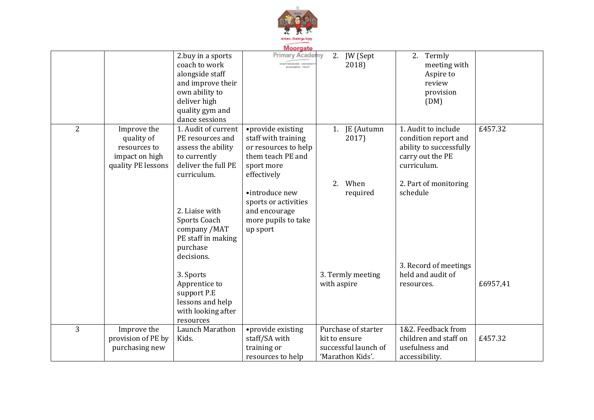

| Moorgate       |                    |                     |                       |               |                      |                         |          |  |
|----------------|--------------------|---------------------|-----------------------|---------------|----------------------|-------------------------|----------|--|
|                |                    | 2.buy in a sports   | <b>Primary Acader</b> | nv<br>2.      | JW (Sept             | 2. Termly               |          |  |
|                |                    | coach to work       | TAPPOSDOHIS UNIVERS   |               | 2018)                | meeting with            |          |  |
|                |                    | alongside staff     |                       |               |                      | Aspire to               |          |  |
|                |                    | and improve their   |                       |               |                      | review                  |          |  |
|                |                    | own ability to      |                       |               |                      | provision               |          |  |
|                |                    | deliver high        |                       |               |                      | (DM)                    |          |  |
|                |                    | quality gym and     |                       |               |                      |                         |          |  |
|                |                    | dance sessions      |                       |               |                      |                         |          |  |
| $\overline{2}$ | Improve the        | 1. Audit of current | •provide existing     |               | 1. JE (Autumn        | 1. Audit to include     | £457.32  |  |
|                | quality of         | PE resources and    | staff with training   |               | 2017)                | condition report and    |          |  |
|                | resources to       | assess the ability  | or resources to help  |               |                      | ability to successfully |          |  |
|                | impact on high     | to currently        | them teach PE and     |               |                      | carry out the PE        |          |  |
|                | quality PE lessons | deliver the full PE | sport more            |               |                      | curriculum.             |          |  |
|                |                    | curriculum.         | effectively           |               |                      |                         |          |  |
|                |                    |                     |                       | 2.            | When                 | 2. Part of monitoring   |          |  |
|                |                    |                     | •introduce new        |               | required             | schedule                |          |  |
|                |                    |                     | sports or activities  |               |                      |                         |          |  |
|                |                    | 2. Liaise with      | and encourage         |               |                      |                         |          |  |
|                |                    | Sports Coach        | more pupils to take   |               |                      |                         |          |  |
|                |                    | company /MAT        | up sport              |               |                      |                         |          |  |
|                |                    | PE staff in making  |                       |               |                      |                         |          |  |
|                |                    | purchase            |                       |               |                      |                         |          |  |
|                |                    | decisions.          |                       |               |                      |                         |          |  |
|                |                    |                     |                       |               |                      | 3. Record of meetings   |          |  |
|                |                    | 3. Sports           |                       |               | 3. Termly meeting    | held and audit of       |          |  |
|                |                    | Apprentice to       |                       | with aspire   |                      | resources.              | £6957,41 |  |
|                |                    | support P.E         |                       |               |                      |                         |          |  |
|                |                    | lessons and help    |                       |               |                      |                         |          |  |
|                |                    | with looking after  |                       |               |                      |                         |          |  |
|                |                    | resources           |                       |               |                      |                         |          |  |
| 3              | Improve the        | Launch Marathon     | •provide existing     |               | Purchase of starter  | 1&2. Feedback from      |          |  |
|                | provision of PE by | Kids.               | staff/SA with         | kit to ensure |                      | children and staff on   | £457.32  |  |
|                | purchasing new     |                     | training or           |               | successful launch of | usefulness and          |          |  |
|                |                    |                     | resources to help     |               | 'Marathon Kids'.     | accessibility.          |          |  |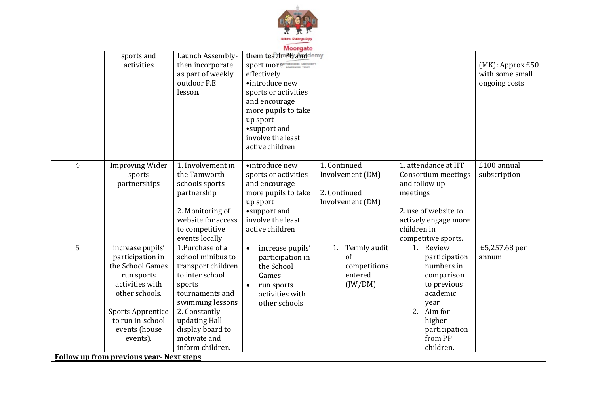

|                                                |                          | Launch Assembly-   | Moorgate<br>them teach PE and demy |                    |                      |                                        |
|------------------------------------------------|--------------------------|--------------------|------------------------------------|--------------------|----------------------|----------------------------------------|
|                                                | sports and               |                    |                                    |                    |                      |                                        |
|                                                | activities               | then incorporate   | sport more ANDREW THE              |                    |                      | $(MK)$ : Approx £50<br>with some small |
|                                                |                          | as part of weekly  | effectively                        |                    |                      |                                        |
|                                                |                          | outdoor P.E        | •introduce new                     |                    |                      | ongoing costs.                         |
|                                                |                          | lesson.            | sports or activities               |                    |                      |                                        |
|                                                |                          |                    | and encourage                      |                    |                      |                                        |
|                                                |                          |                    | more pupils to take                |                    |                      |                                        |
|                                                |                          |                    | up sport                           |                    |                      |                                        |
|                                                |                          |                    | •support and                       |                    |                      |                                        |
|                                                |                          |                    | involve the least                  |                    |                      |                                        |
|                                                |                          |                    | active children                    |                    |                      |                                        |
| 4                                              | <b>Improving Wider</b>   | 1. Involvement in  | •introduce new                     | 1. Continued       | 1. attendance at HT  | £100 annual                            |
|                                                | sports                   | the Tamworth       | sports or activities               | Involvement (DM)   | Consortium meetings  | subscription                           |
|                                                | partnerships             | schools sports     | and encourage                      |                    | and follow up        |                                        |
|                                                |                          | partnership        | more pupils to take                | 2. Continued       | meetings             |                                        |
|                                                |                          |                    | up sport                           | Involvement (DM)   |                      |                                        |
|                                                |                          | 2. Monitoring of   | •support and                       |                    | 2. use of website to |                                        |
|                                                |                          | website for access | involve the least                  |                    | actively engage more |                                        |
|                                                |                          | to competitive     | active children                    |                    | children in          |                                        |
|                                                |                          | events locally     |                                    |                    | competitive sports.  |                                        |
| 5                                              | increase pupils'         | 1.Purchase of a    | increase pupils'<br>$\bullet$      | Termly audit<br>1. | Review<br>1.         | £5,257.68 per                          |
|                                                | participation in         | school minibus to  | participation in                   | of                 | participation        | annum                                  |
|                                                | the School Games         | transport children | the School                         | competitions       | numbers in           |                                        |
|                                                | run sports               | to inter school    | Games                              | entered            | comparison           |                                        |
|                                                | activities with          | sports             | run sports                         | $($ JW/DM $)$      | to previous          |                                        |
|                                                | other schools.           | tournaments and    | activities with                    |                    | academic             |                                        |
|                                                |                          | swimming lessons   | other schools                      |                    | year                 |                                        |
|                                                | <b>Sports Apprentice</b> | 2. Constantly      |                                    |                    | 2.<br>Aim for        |                                        |
|                                                | to run in-school         | updating Hall      |                                    |                    | higher               |                                        |
|                                                | events (house            | display board to   |                                    |                    | participation        |                                        |
|                                                | events).                 | motivate and       |                                    |                    | from PP              |                                        |
|                                                |                          | inform children.   |                                    |                    | children.            |                                        |
| <b>Follow up from previous year-Next steps</b> |                          |                    |                                    |                    |                      |                                        |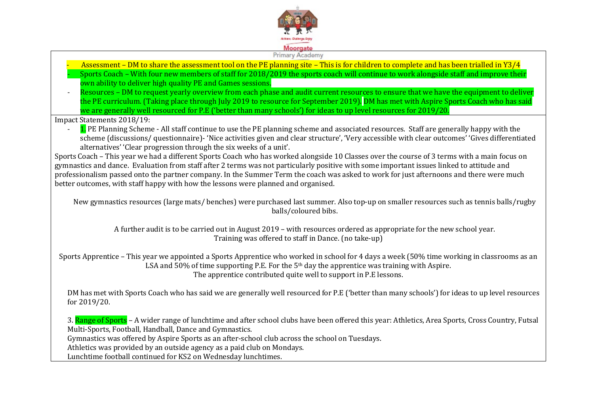

#### Primary Academy

- Assessment DM to share the assessment tool on the PE planning site This is for children to complete and has been trialled in Y3/4
- Sports Coach With four new members of staff for 2018/2019 the sports coach will continue to work alongside staff and improve their own ability to deliver high quality PE and Games sessions.
- Resources DM to request yearly overview from each phase and audit current resources to ensure that we have the equipment to deliver the PE curriculum. (Taking place through July 2019 to resource for September 2019). DM has met with Aspire Sports Coach who has said we are generally well resourced for P.E ('better than many schools') for ideas to up level resources for 2019/20.

Impact Statements 2018/19:

1. PE Planning Scheme - All staff continue to use the PE planning scheme and associated resources. Staff are generally happy with the scheme (discussions/ questionnaire)- 'Nice activities given and clear structure', 'Very accessible with clear outcomes' 'Gives differentiated alternatives' 'Clear progression through the six weeks of a unit'.

Sports Coach – This year we had a different Sports Coach who has worked alongside 10 Classes over the course of 3 terms with a main focus on gymnastics and dance. Evaluation from staff after 2 terms was not particularly positive with some important issues linked to attitude and professionalism passed onto the partner company. In the Summer Term the coach was asked to work for just afternoons and there were much better outcomes, with staff happy with how the lessons were planned and organised.

New gymnastics resources (large mats/ benches) were purchased last summer. Also top-up on smaller resources such as tennis balls/rugby balls/coloured bibs.

A further audit is to be carried out in August 2019 – with resources ordered as appropriate for the new school year. Training was offered to staff in Dance. (no take-up)

Sports Apprentice – This year we appointed a Sports Apprentice who worked in school for 4 days a week (50% time working in classrooms as an LSA and 50% of time supporting P.E. For the  $5<sup>th</sup>$  day the apprentice was training with Aspire. The apprentice contributed quite well to support in P.E lessons.

DM has met with Sports Coach who has said we are generally well resourced for P.E ('better than many schools') for ideas to up level resources for 2019/20.

3. Range of Sports – A wider range of lunchtime and after school clubs have been offered this year: Athletics, Area Sports, Cross Country, Futsal Multi-Sports, Football, Handball, Dance and Gymnastics.

Gymnastics was offered by Aspire Sports as an after-school club across the school on Tuesdays.

Athletics was provided by an outside agency as a paid club on Mondays.

Lunchtime football continued for KS2 on Wednesday lunchtimes.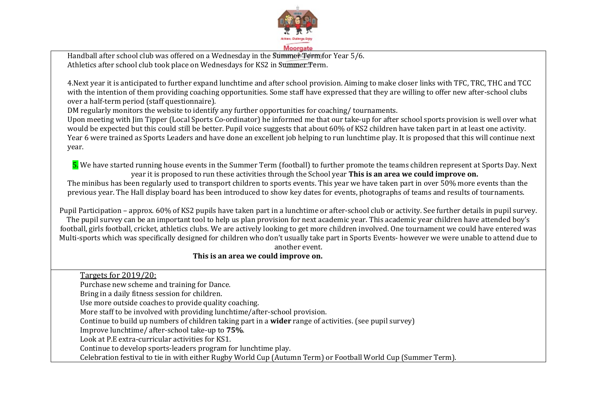

Handball after school club was offered on a Wednesday in the Summer Term for Year 5/6. Athletics after school club took place on Wednesdays for KS2 in Summer Term.

4.Next year it is anticipated to further expand lunchtime and after school provision. Aiming to make closer links with TFC, TRC, THC and TCC with the intention of them providing coaching opportunities. Some staff have expressed that they are willing to offer new after-school clubs over a half-term period (staff questionnaire).

DM regularly monitors the website to identify any further opportunities for coaching/ tournaments.

Upon meeting with Jim Tipper (Local Sports Co-ordinator) he informed me that our take-up for after school sports provision is well over what would be expected but this could still be better. Pupil voice suggests that about 60% of KS2 children have taken part in at least one activity. Year 6 were trained as Sports Leaders and have done an excellent job helping to run lunchtime play. It is proposed that this will continue next year.

5. We have started running house events in the Summer Term (football) to further promote the teams children represent at Sports Day. Next year it is proposed to run these activities through the School year **This is an area we could improve on.**

The minibus has been regularly used to transport children to sports events. This year we have taken part in over 50% more events than the previous year. The Hall display board has been introduced to show key dates for events, photographs of teams and results of tournaments.

Pupil Participation – approx. 60% of KS2 pupils have taken part in a lunchtime or after-school club or activity. See further details in pupil survey. The pupil survey can be an important tool to help us plan provision for next academic year. This academic year children have attended boy's football, girls football, cricket, athletics clubs. We are actively looking to get more children involved. One tournament we could have entered was Multi-sports which was specifically designed for children who don't usually take part in Sports Events- however we were unable to attend due to

#### another event.

### **This is an area we could improve on.**

Targets for 2019/20: Purchase new scheme and training for Dance. Bring in a daily fitness session for children. Use more outside coaches to provide quality coaching. More staff to be involved with providing lunchtime/after-school provision. Continue to build up numbers of children taking part in a **wider** range of activities. (see pupil survey) Improve lunchtime/ after-school take-up to **75%**. Look at P.E extra-curricular activities for KS1. Continue to develop sports-leaders program for lunchtime play. Celebration festival to tie in with either Rugby World Cup (Autumn Term) or Football World Cup (Summer Term).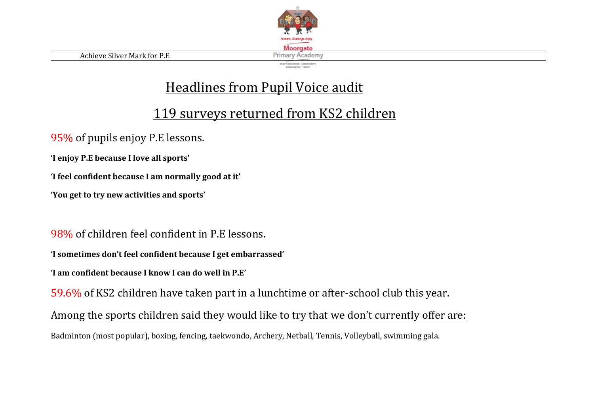

### Headlines from Pupil Voice audit

## 119 surveys returned from KS2 children

95% of pupils enjoy P.E lessons.

**'I enjoy P.E because I love all sports'**

**'I feel confident because I am normally good at it'**

**'You get to try new activities and sports'**

98% of children feel confident in P.E lessons.

**'I sometimes don't feel confident because I get embarrassed'**

**'I am confident because I know I can do well in P.E'**

59.6% of KS2 children have taken part in a lunchtime or after-school club this year.

Among the sports children said they would like to try that we don't currently offer are:

Badminton (most popular), boxing, fencing, taekwondo, Archery, Netball, Tennis, Volleyball, swimming gala.